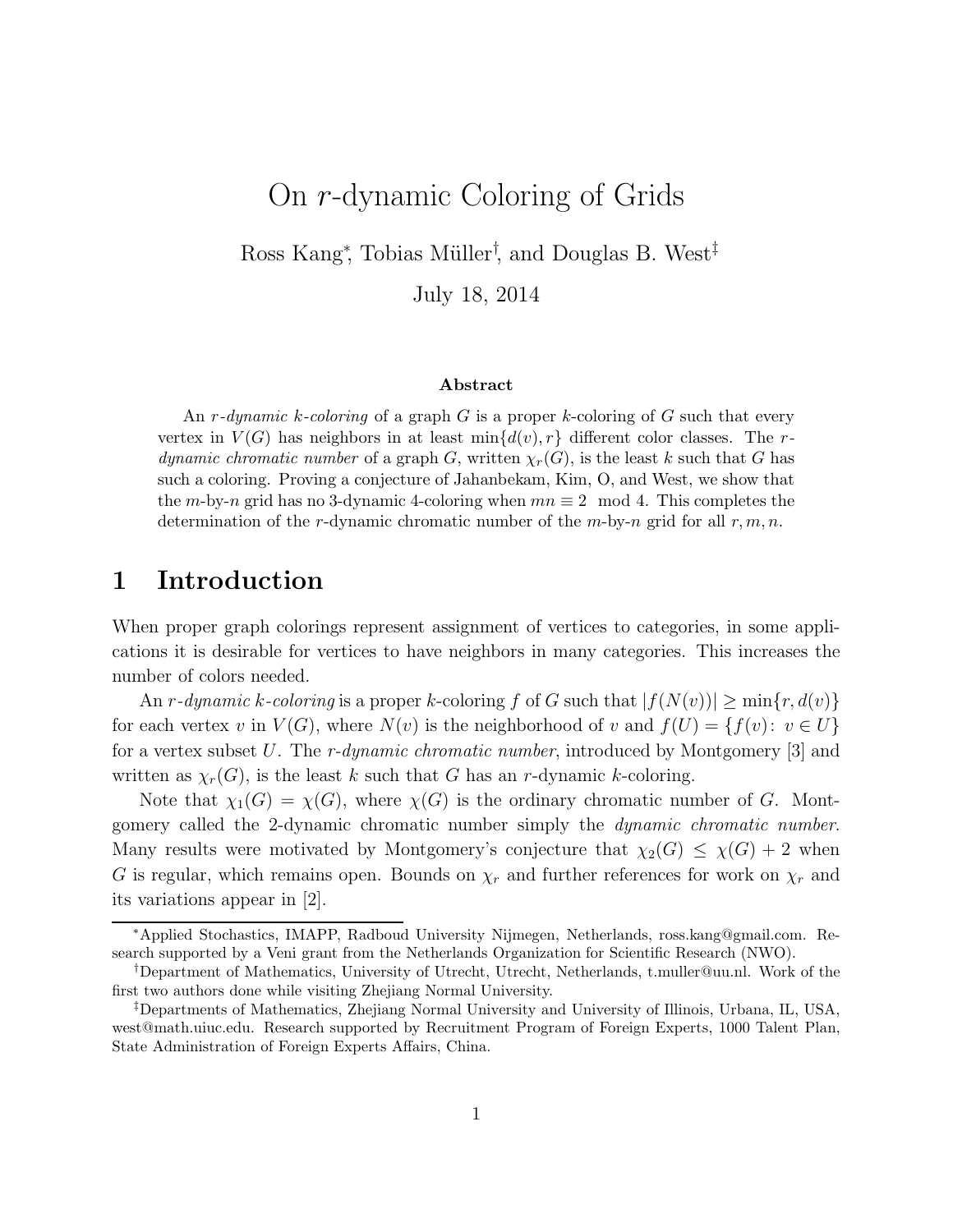# On r-dynamic Coloring of Grids

Ross Kang<sup>\*</sup>, Tobias Müller<sup>†</sup>, and Douglas B. West<sup>‡</sup>

July 18, 2014

#### Abstract

An r-dynamic k-coloring of a graph G is a proper k-coloring of G such that every vertex in  $V(G)$  has neighbors in at least  $\min\{d(v), r\}$  different color classes. The rdynamic chromatic number of a graph G, written  $\chi_r(G)$ , is the least k such that G has such a coloring. Proving a conjecture of Jahanbekam, Kim, O, and West, we show that the m-by-n grid has no 3-dynamic 4-coloring when  $mn \equiv 2 \mod 4$ . This completes the determination of the r-dynamic chromatic number of the  $m$ -by-n grid for all  $r, m, n$ .

### 1 Introduction

When proper graph colorings represent assignment of vertices to categories, in some applications it is desirable for vertices to have neighbors in many categories. This increases the number of colors needed.

An r-dynamic k-coloring is a proper k-coloring f of G such that  $|f(N(v))| \ge \min\{r, d(v)\}\$ for each vertex v in  $V(G)$ , where  $N(v)$  is the neighborhood of v and  $f(U) = \{f(v): v \in U\}$ for a vertex subset U. The r-dynamic chromatic number, introduced by Montgomery [3] and written as  $\chi_r(G)$ , is the least k such that G has an r-dynamic k-coloring.

Note that  $\chi_1(G) = \chi(G)$ , where  $\chi(G)$  is the ordinary chromatic number of G. Montgomery called the 2-dynamic chromatic number simply the dynamic chromatic number. Many results were motivated by Montgomery's conjecture that  $\chi_2(G) \leq \chi(G) + 2$  when G is regular, which remains open. Bounds on  $\chi_r$  and further references for work on  $\chi_r$  and its variations appear in [2].

<sup>∗</sup>Applied Stochastics, IMAPP, Radboud University Nijmegen, Netherlands, ross.kang@gmail.com. Research supported by a Veni grant from the Netherlands Organization for Scientific Research (NWO).

<sup>†</sup>Department of Mathematics, University of Utrecht, Utrecht, Netherlands, t.muller@uu.nl. Work of the first two authors done while visiting Zhejiang Normal University.

<sup>‡</sup>Departments of Mathematics, Zhejiang Normal University and University of Illinois, Urbana, IL, USA, west@math.uiuc.edu. Research supported by Recruitment Program of Foreign Experts, 1000 Talent Plan, State Administration of Foreign Experts Affairs, China.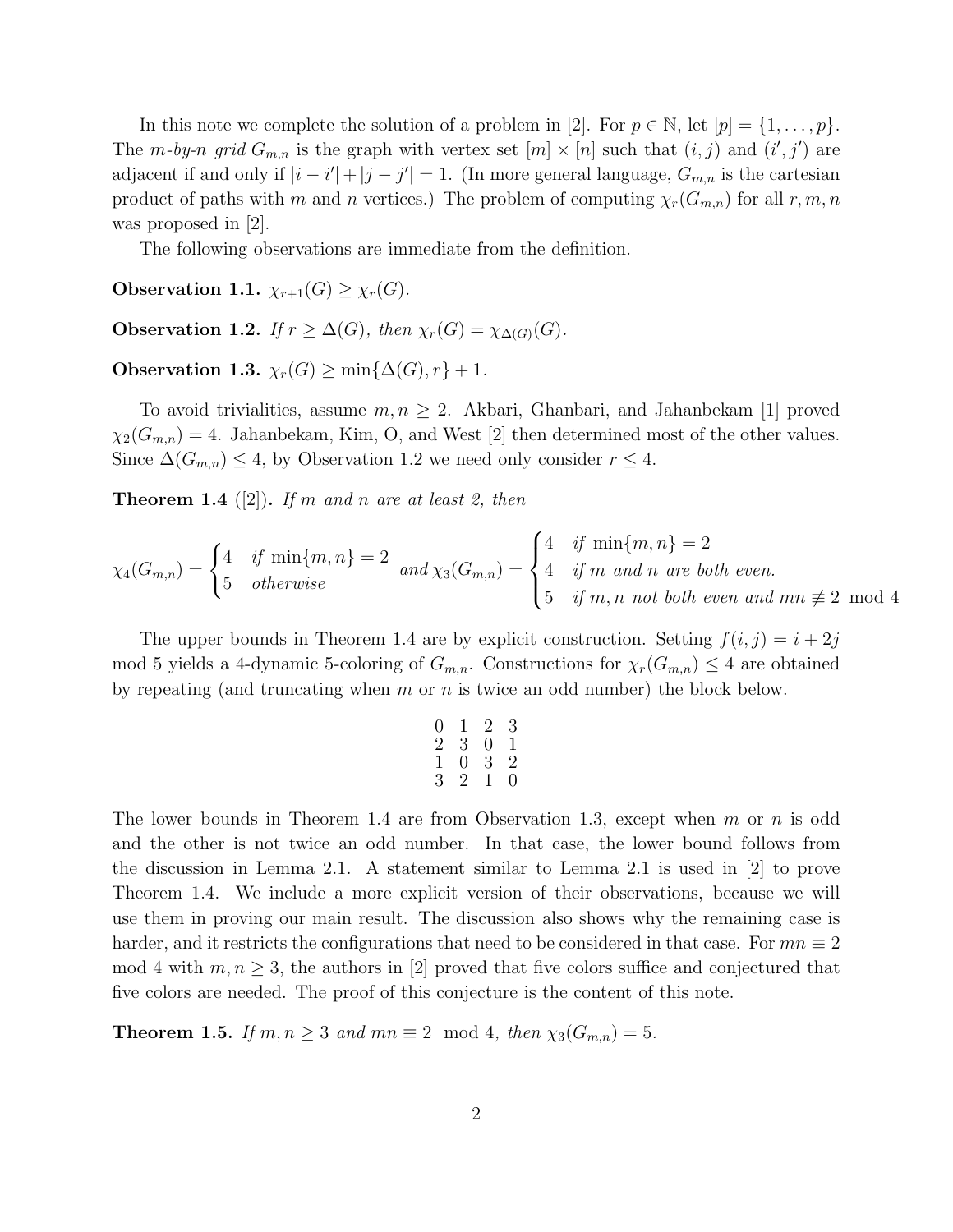In this note we complete the solution of a problem in [2]. For  $p \in \mathbb{N}$ , let  $[p] = \{1, \ldots, p\}$ . The m-by-n grid  $G_{m,n}$  is the graph with vertex set  $[m] \times [n]$  such that  $(i, j)$  and  $(i', j')$  are adjacent if and only if  $|i - i'| + |j - j'| = 1$ . (In more general language,  $G_{m,n}$  is the cartesian product of paths with m and n vertices.) The problem of computing  $\chi_r(G_{m,n})$  for all  $r, m, n$ was proposed in [2].

The following observations are immediate from the definition.

Observation 1.1.  $\chi_{r+1}(G) \geq \chi_r(G)$ .

Observation 1.2. If  $r \geq \Delta(G)$ , then  $\chi_r(G) = \chi_{\Delta(G)}(G)$ .

Observation 1.3.  $\chi_r(G) \ge \min{\{\Delta(G), r\}} + 1$ .

To avoid trivialities, assume  $m, n \geq 2$ . Akbari, Ghanbari, and Jahanbekam [1] proved  $\chi_2(G_{m,n}) = 4$ . Jahanbekam, Kim, O, and West [2] then determined most of the other values. Since  $\Delta(G_{m,n}) \leq 4$ , by Observation 1.2 we need only consider  $r \leq 4$ .

**Theorem 1.4** ([2]). If m and n are at least 2, then

$$
\chi_4(G_{m,n}) = \begin{cases} 4 & \text{if } \min\{m,n\} = 2 \\ 5 & \text{otherwise} \end{cases} \text{ and } \chi_3(G_{m,n}) = \begin{cases} 4 & \text{if } \min\{m,n\} = 2 \\ 4 & \text{if } m \text{ and } n \text{ are both even.} \\ 5 & \text{if } m, n \text{ not both even and } mn \not\equiv 2 \mod 4 \end{cases}
$$

The upper bounds in Theorem 1.4 are by explicit construction. Setting  $f(i, j) = i + 2j$ mod 5 yields a 4-dynamic 5-coloring of  $G_{m,n}$ . Constructions for  $\chi_r(G_{m,n}) \leq 4$  are obtained by repeating (and truncating when m or n is twice an odd number) the block below.

$$
\begin{array}{cccc}\n0 & 1 & 2 & 3 \\
2 & 3 & 0 & 1 \\
1 & 0 & 3 & 2 \\
3 & 2 & 1 & 0\n\end{array}
$$

The lower bounds in Theorem 1.4 are from Observation 1.3, except when  $m$  or  $n$  is odd and the other is not twice an odd number. In that case, the lower bound follows from the discussion in Lemma 2.1. A statement similar to Lemma 2.1 is used in [2] to prove Theorem 1.4. We include a more explicit version of their observations, because we will use them in proving our main result. The discussion also shows why the remaining case is harder, and it restricts the configurations that need to be considered in that case. For  $mn \equiv 2$ mod 4 with  $m, n \geq 3$ , the authors in [2] proved that five colors suffice and conjectured that five colors are needed. The proof of this conjecture is the content of this note.

**Theorem 1.5.** If  $m, n \geq 3$  and  $mn \equiv 2 \mod 4$ , then  $\chi_3(G_{m,n}) = 5$ .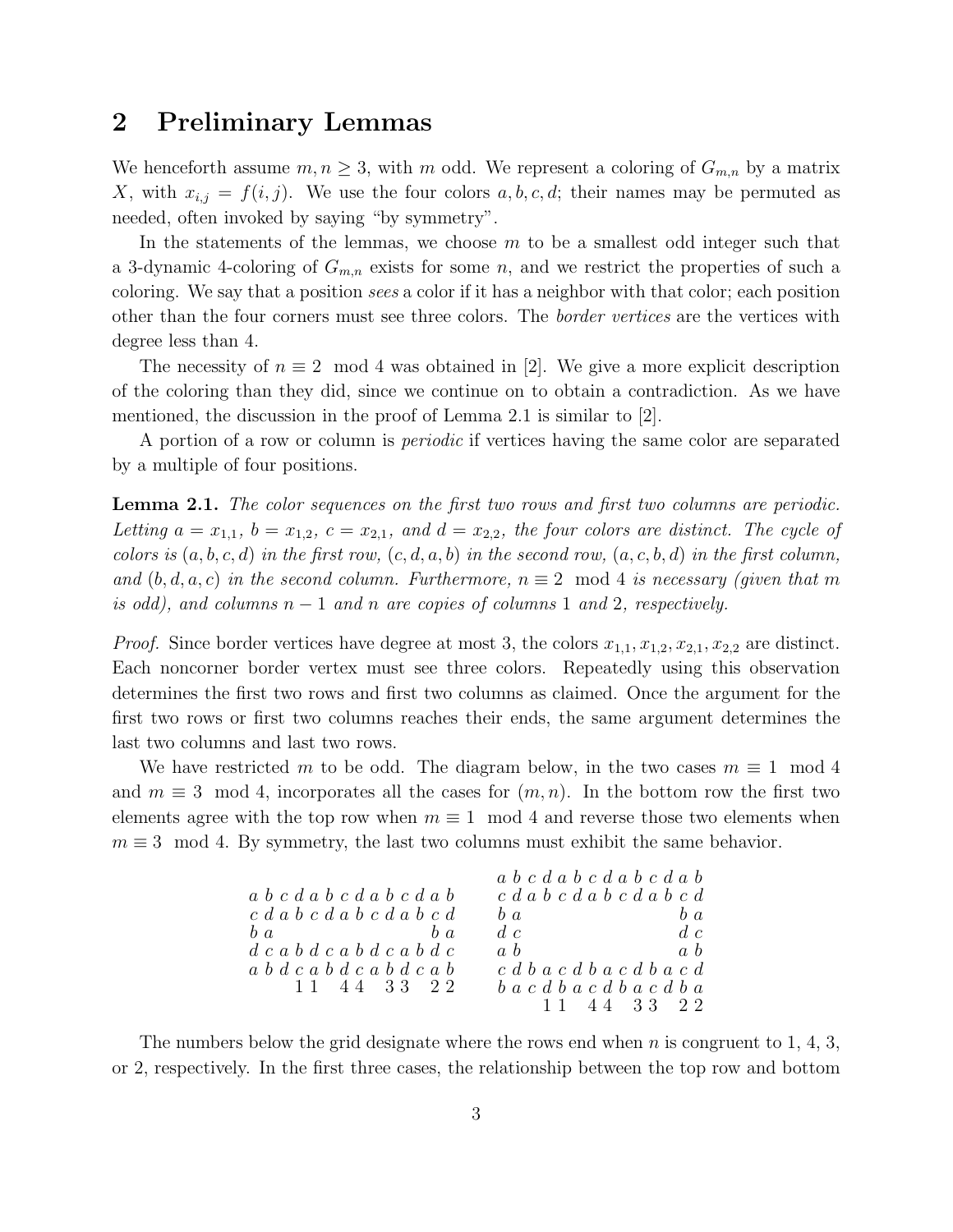### 2 Preliminary Lemmas

We henceforth assume  $m, n \geq 3$ , with m odd. We represent a coloring of  $G_{m,n}$  by a matrix X, with  $x_{i,j} = f(i,j)$ . We use the four colors  $a, b, c, d$ ; their names may be permuted as needed, often invoked by saying "by symmetry".

In the statements of the lemmas, we choose  $m$  to be a smallest odd integer such that a 3-dynamic 4-coloring of  $G_{m,n}$  exists for some n, and we restrict the properties of such a coloring. We say that a position sees a color if it has a neighbor with that color; each position other than the four corners must see three colors. The border vertices are the vertices with degree less than 4.

The necessity of  $n \equiv 2 \mod 4$  was obtained in [2]. We give a more explicit description of the coloring than they did, since we continue on to obtain a contradiction. As we have mentioned, the discussion in the proof of Lemma 2.1 is similar to  $[2]$ .

A portion of a row or column is periodic if vertices having the same color are separated by a multiple of four positions.

**Lemma 2.1.** The color sequences on the first two rows and first two columns are periodic. Letting  $a = x_{1,1}$ ,  $b = x_{1,2}$ ,  $c = x_{2,1}$ , and  $d = x_{2,2}$ , the four colors are distinct. The cycle of colors is  $(a, b, c, d)$  in the first row,  $(c, d, a, b)$  in the second row,  $(a, c, b, d)$  in the first column, and  $(b, d, a, c)$  in the second column. Furthermore,  $n \equiv 2 \mod 4$  is necessary (given that m is odd), and columns  $n-1$  and n are copies of columns 1 and 2, respectively.

*Proof.* Since border vertices have degree at most 3, the colors  $x_{1,1}, x_{1,2}, x_{2,1}, x_{2,2}$  are distinct. Each noncorner border vertex must see three colors. Repeatedly using this observation determines the first two rows and first two columns as claimed. Once the argument for the first two rows or first two columns reaches their ends, the same argument determines the last two columns and last two rows.

We have restricted m to be odd. The diagram below, in the two cases  $m \equiv 1 \mod 4$ and  $m \equiv 3 \mod 4$ , incorporates all the cases for  $(m, n)$ . In the bottom row the first two elements agree with the top row when  $m \equiv 1 \mod 4$  and reverse those two elements when  $m \equiv 3 \mod 4$ . By symmetry, the last two columns must exhibit the same behavior.

|                                                         | $a\; b\; c\; d\; a\; b\; c\; d\; a\; b\; c\; d\; a\; b$ |
|---------------------------------------------------------|---------------------------------------------------------|
| $a\; b\; c\; d\; a\; b\; c\; d\; a\; b\; c\; d\; a\; b$ | c d a b c d a b c d a b c d                             |
| c d a b c d a b c d a b c d                             | $b\ a$<br>$b\ a$                                        |
| $b\,a$<br>$h\ a$                                        | $d$ c<br>d.c.                                           |
| $d\ c\ a\ b\ d\ c\ a\ b\ d\ c\ a\ b\ d\ c$              | a, b<br>a, b                                            |
| a b d c a b d c a b d c a b                             | c d b a c d b a c d b a c d                             |
| 11 44 33 22                                             | $b\ a\ c\ d\ b\ a\ c\ d\ b\ a\ c\ d\ b\ a$              |
|                                                         | 11 44 33 22                                             |
|                                                         |                                                         |

The numbers below the grid designate where the rows end when  $n$  is congruent to 1, 4, 3, or 2, respectively. In the first three cases, the relationship between the top row and bottom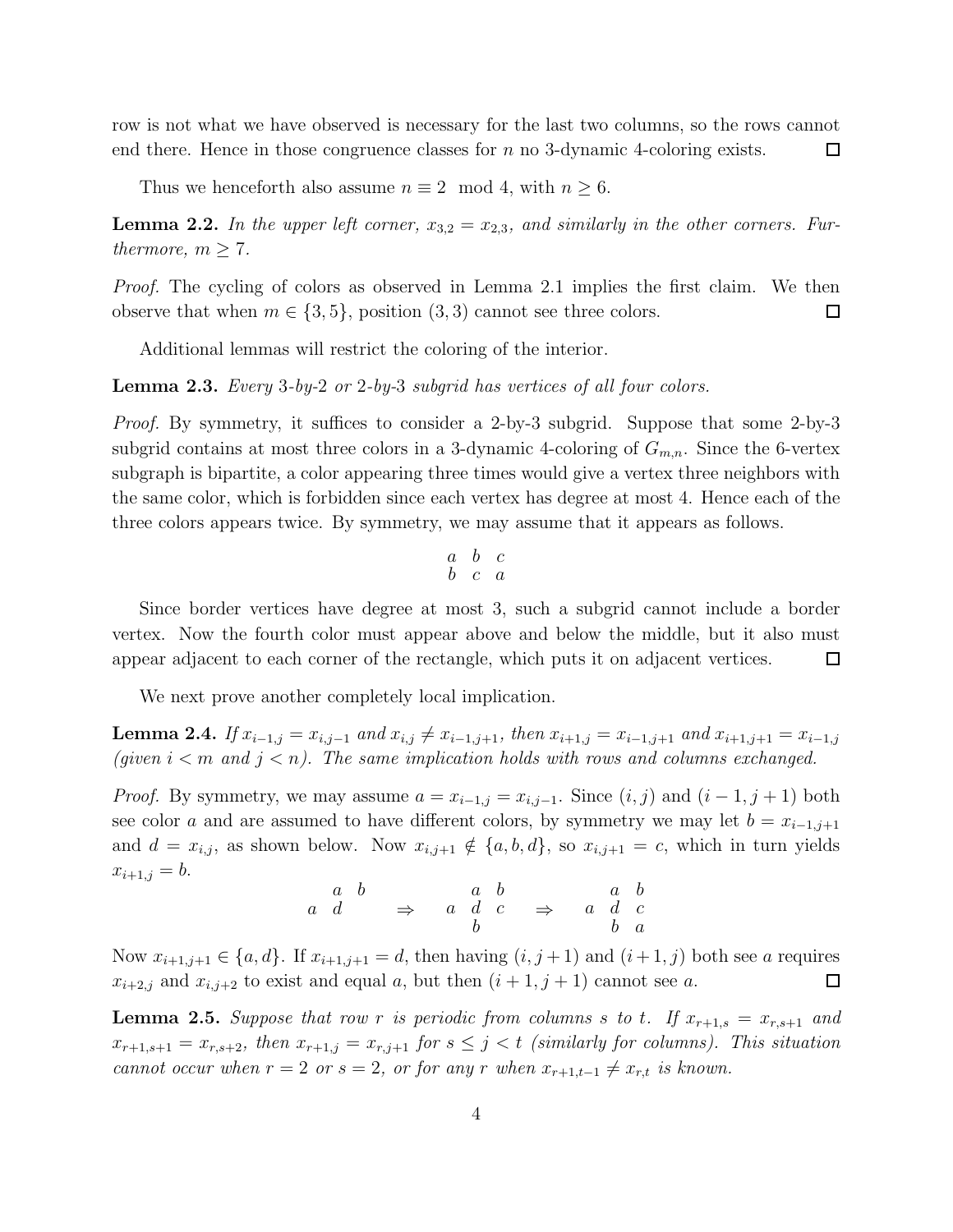row is not what we have observed is necessary for the last two columns, so the rows cannot end there. Hence in those congruence classes for  $n$  no 3-dynamic 4-coloring exists. 口

Thus we henceforth also assume  $n \equiv 2 \mod 4$ , with  $n \geq 6$ .

**Lemma 2.2.** In the upper left corner,  $x_{3,2} = x_{2,3}$ , and similarly in the other corners. Furthermore,  $m \geq 7$ .

Proof. The cycling of colors as observed in Lemma 2.1 implies the first claim. We then observe that when  $m \in \{3, 5\}$ , position  $(3, 3)$  cannot see three colors.  $\Box$ 

Additional lemmas will restrict the coloring of the interior.

Lemma 2.3. Every 3-by-2 or 2-by-3 subgrid has vertices of all four colors.

Proof. By symmetry, it suffices to consider a 2-by-3 subgrid. Suppose that some 2-by-3 subgrid contains at most three colors in a 3-dynamic 4-coloring of  $G_{m,n}$ . Since the 6-vertex subgraph is bipartite, a color appearing three times would give a vertex three neighbors with the same color, which is forbidden since each vertex has degree at most 4. Hence each of the three colors appears twice. By symmetry, we may assume that it appears as follows.

$$
\begin{array}{ccc} a & b & c \\ b & c & a \end{array}
$$

Since border vertices have degree at most 3, such a subgrid cannot include a border vertex. Now the fourth color must appear above and below the middle, but it also must appear adjacent to each corner of the rectangle, which puts it on adjacent vertices.  $\Box$ 

We next prove another completely local implication.

**Lemma 2.4.** If  $x_{i-1,j} = x_{i,j-1}$  and  $x_{i,j} \neq x_{i-1,j+1}$ , then  $x_{i+1,j} = x_{i-1,j+1}$  and  $x_{i+1,j+1} = x_{i-1,j}$ (given  $i < m$  and  $j < n$ ). The same implication holds with rows and columns exchanged.

*Proof.* By symmetry, we may assume  $a = x_{i-1,j} = x_{i,j-1}$ . Since  $(i, j)$  and  $(i - 1, j + 1)$  both see color a and are assumed to have different colors, by symmetry we may let  $b = x_{i-1,j+1}$ and  $d = x_{i,j}$ , as shown below. Now  $x_{i,j+1} \notin \{a, b, d\}$ , so  $x_{i,j+1} = c$ , which in turn yields  $x_{i+1,j} = b.$ 

$$
\begin{array}{ccccccccc}\n & a & b & & a & b & & a & b \\
a & d & & \Rightarrow & a & d & c & \Rightarrow & a & d & c \\
b & & & & b & & & b & a\n\end{array}
$$

Now  $x_{i+1,j+1} \in \{a,d\}$ . If  $x_{i+1,j+1} = d$ , then having  $(i, j+1)$  and  $(i+1, j)$  both see a requires  $x_{i+2,j}$  and  $x_{i,j+2}$  to exist and equal a, but then  $(i+1, j+1)$  cannot see a.  $\Box$ 

**Lemma 2.5.** Suppose that row r is periodic from columns s to t. If  $x_{r+1,s} = x_{r,s+1}$  and  $x_{r+1,s+1} = x_{r,s+2}$ , then  $x_{r+1,j} = x_{r,j+1}$  for  $s \leq j < t$  (similarly for columns). This situation cannot occur when  $r = 2$  or  $s = 2$ , or for any r when  $x_{r+1,t-1} \neq x_{r,t}$  is known.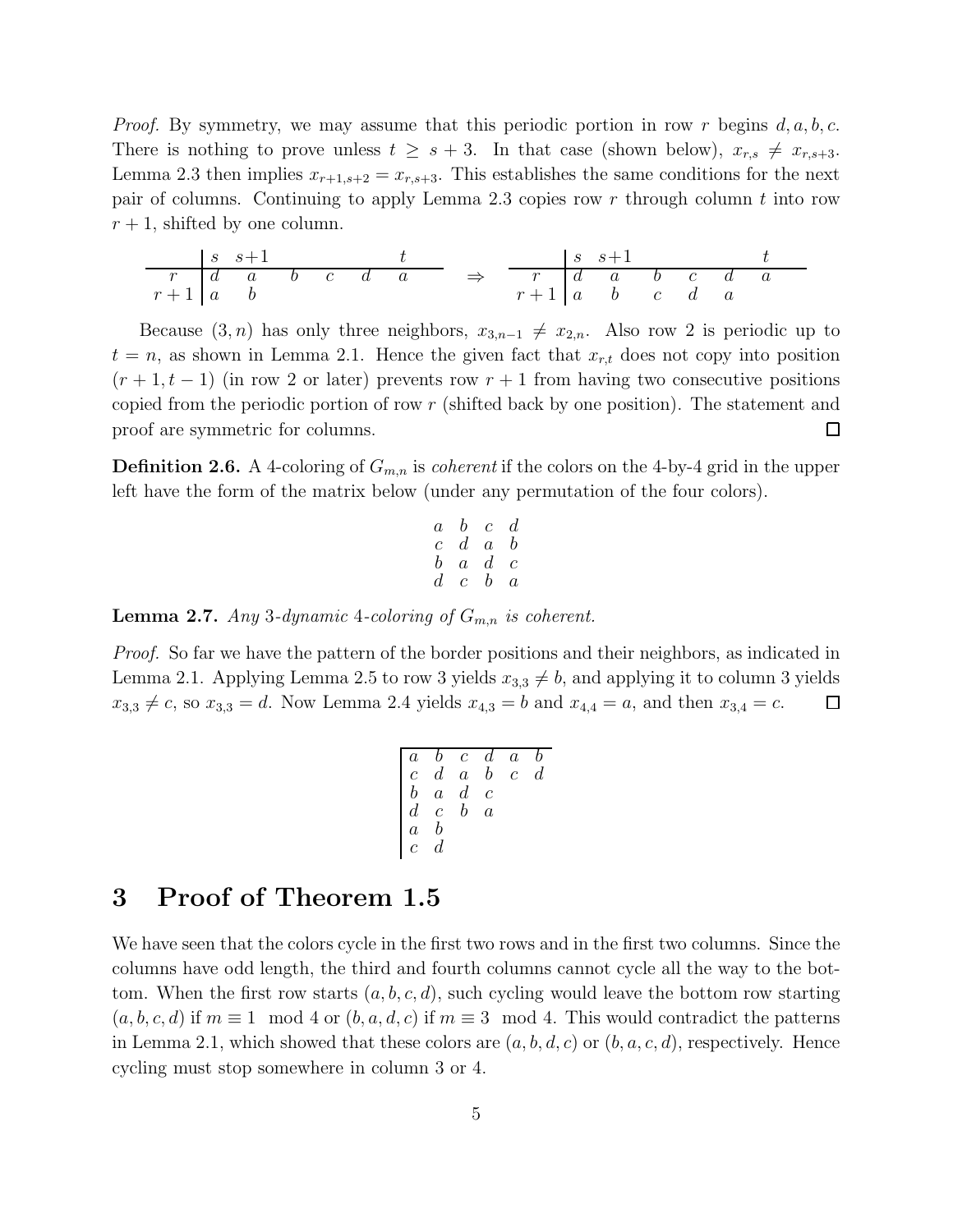*Proof.* By symmetry, we may assume that this periodic portion in row r begins  $d, a, b, c$ . There is nothing to prove unless  $t \geq s + 3$ . In that case (shown below),  $x_{r,s} \neq x_{r,s+3}$ . Lemma 2.3 then implies  $x_{r+1,s+2} = x_{r,s+3}$ . This establishes the same conditions for the next pair of columns. Continuing to apply Lemma 2.3 copies row  $r$  through column  $t$  into row  $r + 1$ , shifted by one column.

$$
\begin{array}{c|ccccccccc}\n & s & s+1 & t & t \\
\hline\nr & d & a & b & c & d & a \\
r+1 & a & b & & & & \\
\end{array}\n\quad \Rightarrow \quad \begin{array}{c|cccccc}\n & s & s+1 & t & t \\
\hline\nr & d & a & b & c & d & a \\
r+1 & a & b & c & d & a\n\end{array}
$$

Because  $(3, n)$  has only three neighbors,  $x_{3,n-1} \neq x_{2,n}$ . Also row 2 is periodic up to  $t = n$ , as shown in Lemma 2.1. Hence the given fact that  $x_{r,t}$  does not copy into position  $(r + 1, t - 1)$  (in row 2 or later) prevents row  $r + 1$  from having two consecutive positions copied from the periodic portion of row r (shifted back by one position). The statement and proof are symmetric for columns. □

**Definition 2.6.** A 4-coloring of  $G_{m,n}$  is *coherent* if the colors on the 4-by-4 grid in the upper left have the form of the matrix below (under any permutation of the four colors).

$$
\begin{array}{cccccc} a & b & c & d \\ c & d & a & b \\ b & a & d & c \\ d & c & b & a \end{array}
$$

**Lemma 2.7.** Any 3-dynamic 4-coloring of  $G_{m,n}$  is coherent.

Proof. So far we have the pattern of the border positions and their neighbors, as indicated in Lemma 2.1. Applying Lemma 2.5 to row 3 yields  $x_{3,3} \neq b$ , and applying it to column 3 yields  $x_{3,3} \neq c$ , so  $x_{3,3} = d$ . Now Lemma 2.4 yields  $x_{4,3} = b$  and  $x_{4,4} = a$ , and then  $x_{3,4} = c$ .  $\Box$ 

$$
\left[ \begin{array}{ccccccc} a & b & c & d & a & b \\ c & d & a & b & c & d \\ b & a & d & c & & \\ d & c & b & a & & \\ a & b & & & & \\ c & d & & & & & \end{array} \right]
$$

## 3 Proof of Theorem 1.5

We have seen that the colors cycle in the first two rows and in the first two columns. Since the columns have odd length, the third and fourth columns cannot cycle all the way to the bottom. When the first row starts  $(a, b, c, d)$ , such cycling would leave the bottom row starting  $(a, b, c, d)$  if  $m \equiv 1 \mod 4$  or  $(b, a, d, c)$  if  $m \equiv 3 \mod 4$ . This would contradict the patterns in Lemma 2.1, which showed that these colors are  $(a, b, d, c)$  or  $(b, a, c, d)$ , respectively. Hence cycling must stop somewhere in column 3 or 4.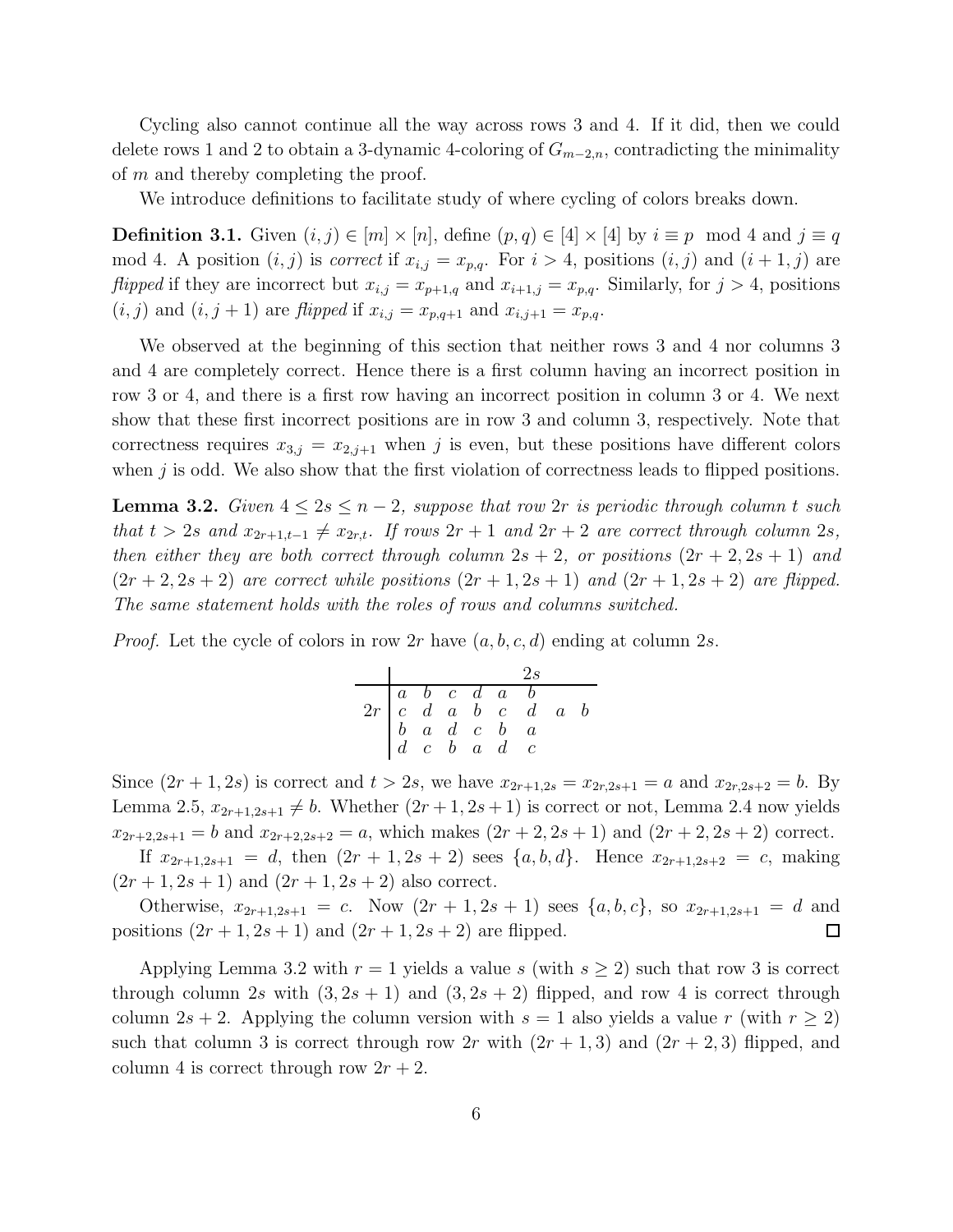Cycling also cannot continue all the way across rows 3 and 4. If it did, then we could delete rows 1 and 2 to obtain a 3-dynamic 4-coloring of  $G_{m-2,n}$ , contradicting the minimality of m and thereby completing the proof.

We introduce definitions to facilitate study of where cycling of colors breaks down.

**Definition 3.1.** Given  $(i, j) \in [m] \times [n]$ , define  $(p, q) \in [4] \times [4]$  by  $i \equiv p \mod 4$  and  $j \equiv q$ mod 4. A position  $(i, j)$  is *correct* if  $x_{i,j} = x_{p,q}$ . For  $i > 4$ , positions  $(i, j)$  and  $(i + 1, j)$  are flipped if they are incorrect but  $x_{i,j} = x_{p+1,q}$  and  $x_{i+1,j} = x_{p,q}$ . Similarly, for  $j > 4$ , positions  $(i, j)$  and  $(i, j + 1)$  are *flipped* if  $x_{i,j} = x_{p,q+1}$  and  $x_{i,j+1} = x_{p,q}$ .

We observed at the beginning of this section that neither rows 3 and 4 nor columns 3 and 4 are completely correct. Hence there is a first column having an incorrect position in row 3 or 4, and there is a first row having an incorrect position in column 3 or 4. We next show that these first incorrect positions are in row 3 and column 3, respectively. Note that correctness requires  $x_{3,j} = x_{2,j+1}$  when j is even, but these positions have different colors when  $j$  is odd. We also show that the first violation of correctness leads to flipped positions.

**Lemma 3.2.** Given  $4 \leq 2s \leq n-2$ , suppose that row 2r is periodic through column t such that  $t > 2s$  and  $x_{2r+1,t-1} \neq x_{2r,t}$ . If rows  $2r + 1$  and  $2r + 2$  are correct through column 2s, then either they are both correct through column  $2s + 2$ , or positions  $(2r + 2, 2s + 1)$  and  $(2r+2, 2s+2)$  are correct while positions  $(2r+1, 2s+1)$  and  $(2r+1, 2s+2)$  are flipped. The same statement holds with the roles of rows and columns switched.

*Proof.* Let the cycle of colors in row 2r have  $(a, b, c, d)$  ending at column 2s.

|                                                                                                                           |  |  | 2s |  |
|---------------------------------------------------------------------------------------------------------------------------|--|--|----|--|
|                                                                                                                           |  |  |    |  |
|                                                                                                                           |  |  |    |  |
|                                                                                                                           |  |  |    |  |
| $\begin{array}{ c cccc } \hline a&b&c&d&a&b\\ \hline 2r&c&d&a&b&c&d&a&b\\ b&a&d&c&b&a\\ d&c&b&a&d&c\\ \hline \end{array}$ |  |  |    |  |

Since  $(2r+1, 2s)$  is correct and  $t > 2s$ , we have  $x_{2r+1,2s} = x_{2r,2s+1} = a$  and  $x_{2r,2s+2} = b$ . By Lemma 2.5,  $x_{2r+1,2s+1} \neq b$ . Whether  $(2r+1, 2s+1)$  is correct or not, Lemma 2.4 now yields  $x_{2r+2,2s+1} = b$  and  $x_{2r+2,2s+2} = a$ , which makes  $(2r+2,2s+1)$  and  $(2r+2,2s+2)$  correct.

If  $x_{2r+1,2s+1} = d$ , then  $(2r + 1, 2s + 2)$  sees  $\{a, b, d\}$ . Hence  $x_{2r+1,2s+2} = c$ , making  $(2r+1, 2s+1)$  and  $(2r+1, 2s+2)$  also correct.

Otherwise,  $x_{2r+1,2s+1} = c$ . Now  $(2r+1,2s+1)$  sees  $\{a,b,c\}$ , so  $x_{2r+1,2s+1} = d$  and positions  $(2r+1, 2s+1)$  and  $(2r+1, 2s+2)$  are flipped.  $\Box$ 

Applying Lemma 3.2 with  $r = 1$  yields a value s (with  $s \geq 2$ ) such that row 3 is correct through column 2s with  $(3, 2s + 1)$  and  $(3, 2s + 2)$  flipped, and row 4 is correct through column 2s + 2. Applying the column version with  $s = 1$  also yields a value r (with  $r \ge 2$ ) such that column 3 is correct through row 2r with  $(2r + 1, 3)$  and  $(2r + 2, 3)$  flipped, and column 4 is correct through row  $2r + 2$ .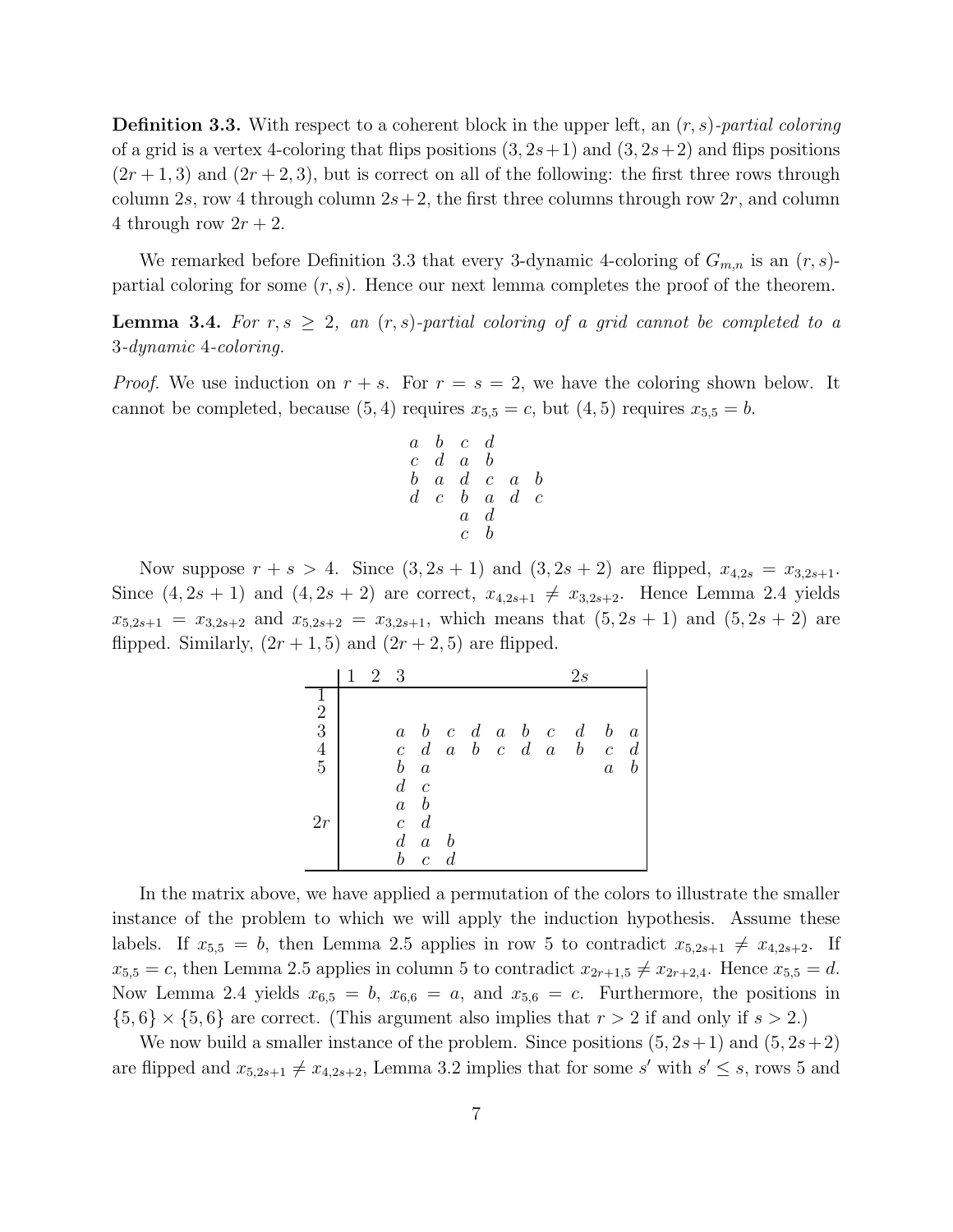**Definition 3.3.** With respect to a coherent block in the upper left, an  $(r, s)$ -partial coloring of a grid is a vertex 4-coloring that flips positions  $(3, 2s+1)$  and  $(3, 2s+2)$  and flips positions  $(2r+1, 3)$  and  $(2r+2, 3)$ , but is correct on all of the following: the first three rows through column 2s, row 4 through column  $2s+2$ , the first three columns through row  $2r$ , and column 4 through row  $2r + 2$ .

We remarked before Definition 3.3 that every 3-dynamic 4-coloring of  $G_{m,n}$  is an  $(r, s)$ partial coloring for some  $(r, s)$ . Hence our next lemma completes the proof of the theorem.

**Lemma 3.4.** For  $r, s \geq 2$ , an  $(r, s)$ -partial coloring of a grid cannot be completed to a 3-dynamic 4-coloring.

*Proof.* We use induction on  $r + s$ . For  $r = s = 2$ , we have the coloring shown below. It cannot be completed, because  $(5, 4)$  requires  $x_{5,5} = c$ , but  $(4, 5)$  requires  $x_{5,5} = b$ .

$$
\begin{array}{cccccc} a & b & c & d \\ c & d & a & b \\ b & a & d & c & a & b \\ d & c & b & a & d & c \\ a & d & c & b & \end{array}
$$

Now suppose  $r + s > 4$ . Since  $(3, 2s + 1)$  and  $(3, 2s + 2)$  are flipped,  $x_{4,2s} = x_{3,2s+1}$ . Since  $(4, 2s + 1)$  and  $(4, 2s + 2)$  are correct,  $x_{4,2s+1} \neq x_{3,2s+2}$ . Hence Lemma 2.4 yields  $x_{5,2s+1} = x_{3,2s+2}$  and  $x_{5,2s+2} = x_{3,2s+1}$ , which means that  $(5, 2s + 1)$  and  $(5, 2s + 2)$  are flipped. Similarly,  $(2r+1, 5)$  and  $(2r+2, 5)$  are flipped.

|                                                 | 2 3 |                  |                  |                                   |  |  | 2s                    |                  |                  |
|-------------------------------------------------|-----|------------------|------------------|-----------------------------------|--|--|-----------------------|------------------|------------------|
|                                                 |     |                  |                  |                                   |  |  |                       |                  |                  |
|                                                 |     |                  |                  |                                   |  |  |                       |                  |                  |
|                                                 |     | $\,a$            |                  |                                   |  |  | $b\,c\,d\,a\,b\,c\,d$ | $\boldsymbol{b}$ | $\boldsymbol{a}$ |
| $\begin{array}{c} 2 \\ 3 \\ 4 \\ 5 \end{array}$ |     |                  |                  | $c \, d \, a \, b \, c \, d \, a$ |  |  | $\boldsymbol{b}$      |                  | $c \, d$         |
|                                                 |     | $\boldsymbol{b}$ | $\boldsymbol{a}$ |                                   |  |  |                       | $\boldsymbol{a}$ | $\boldsymbol{b}$ |
|                                                 |     | $d\, c$          |                  |                                   |  |  |                       |                  |                  |
|                                                 |     | $\boldsymbol{a}$ | $\boldsymbol{b}$ |                                   |  |  |                       |                  |                  |
| 2r                                              |     | $\bar{c}$        | $\overline{d}$   |                                   |  |  |                       |                  |                  |
|                                                 |     | $d_{-}$          | $\boldsymbol{a}$ | $\boldsymbol{b}$                  |  |  |                       |                  |                  |
|                                                 |     | $\it b$          | $\overline{c}$   | $\overline{d}$                    |  |  |                       |                  |                  |

In the matrix above, we have applied a permutation of the colors to illustrate the smaller instance of the problem to which we will apply the induction hypothesis. Assume these labels. If  $x_{5,5} = b$ , then Lemma 2.5 applies in row 5 to contradict  $x_{5,2s+1} \neq x_{4,2s+2}$ . If  $x_{5,5} = c$ , then Lemma 2.5 applies in column 5 to contradict  $x_{2r+1,5} \neq x_{2r+2,4}$ . Hence  $x_{5,5} = d$ . Now Lemma 2.4 yields  $x_{6,5} = b$ ,  $x_{6,6} = a$ , and  $x_{5,6} = c$ . Furthermore, the positions in  $\{5,6\} \times \{5,6\}$  are correct. (This argument also implies that  $r > 2$  if and only if  $s > 2$ .)

We now build a smaller instance of the problem. Since positions  $(5, 2s+1)$  and  $(5, 2s+2)$ are flipped and  $x_{5,2s+1} \neq x_{4,2s+2}$ , Lemma 3.2 implies that for some s' with  $s' \leq s$ , rows 5 and